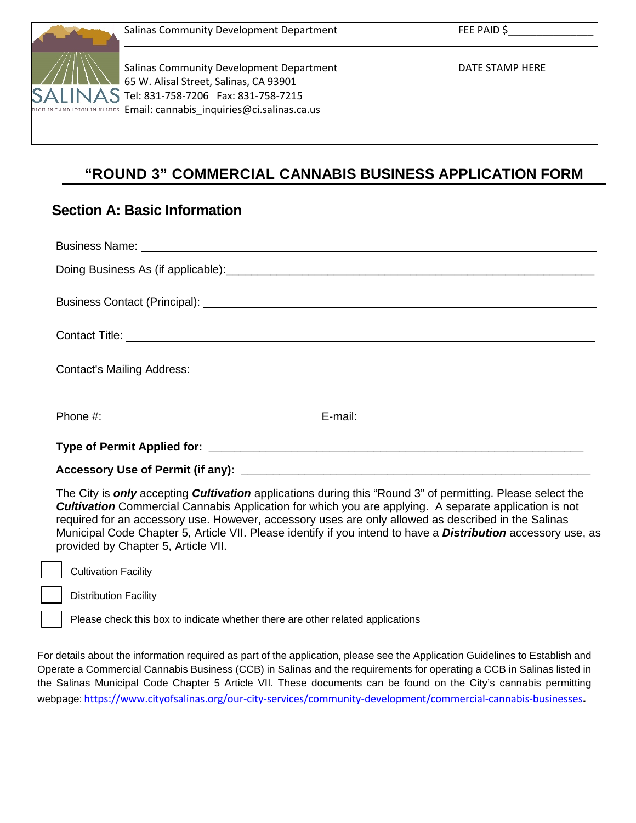| Salinas Community Development Department                                                                                                                                                                        | $FEE$ PAID \$   |
|-----------------------------------------------------------------------------------------------------------------------------------------------------------------------------------------------------------------|-----------------|
| Salinas Community Development Department<br>65 W. Alisal Street, Salinas, CA 93901<br>$SALINAS$ Tel: 831-758-7206 Fax: 831-758-7215<br>RICH IN LAND   RICH IN VALUES Email: cannabis inquiries@ci.salinas.ca.us | DATE STAMP HERE |

# **"ROUND 3" COMMERCIAL CANNABIS BUSINESS APPLICATION FORM**

## **Section A: Basic Information**

|                                                                                                                                                                                                                                                                   | Business Name: <u>example and the second contract of the second contract of the second contract of the second contract of the second contract of the second contract of the second contract of the second contract of the second</u> |
|-------------------------------------------------------------------------------------------------------------------------------------------------------------------------------------------------------------------------------------------------------------------|--------------------------------------------------------------------------------------------------------------------------------------------------------------------------------------------------------------------------------------|
|                                                                                                                                                                                                                                                                   | Doing Business As (if applicable): example and a set of the set of the set of the set of the set of the set of the set of the set of the set of the set of the set of the set of the set of the set of the set of the set of t       |
| Business Contact (Principal): <u>[1994]</u> Contact (Principal): <b>[20]</b> Contact (Principal): <b>[20]</b> Contact (Principal): <b>[20]</b> Contact (Principal): <b>[20]</b> Contact (Principal): <b>[20]</b> Contact (Principal): <b>[20]</b> Contact (Princi |                                                                                                                                                                                                                                      |
|                                                                                                                                                                                                                                                                   |                                                                                                                                                                                                                                      |
|                                                                                                                                                                                                                                                                   |                                                                                                                                                                                                                                      |
|                                                                                                                                                                                                                                                                   |                                                                                                                                                                                                                                      |
|                                                                                                                                                                                                                                                                   |                                                                                                                                                                                                                                      |
|                                                                                                                                                                                                                                                                   |                                                                                                                                                                                                                                      |

The City is *only* accepting *Cultivation* applications during this "Round 3" of permitting. Please select the *Cultivation* Commercial Cannabis Application for which you are applying. A separate application is not required for an accessory use. However, accessory uses are only allowed as described in the Salinas Municipal Code Chapter 5, Article VII. Please identify if you intend to have a *Distribution* accessory use, as provided by Chapter 5, Article VII.

Cultivation Facility

Distribution Facility

Please check this box to indicate whether there are other related applications

For details about the information required as part of the application, please see the Application Guidelines to Establish and Operate a Commercial Cannabis Business (CCB) in Salinas and the requirements for operating a CCB in Salinas listed in the Salinas Municipal Code Chapter 5 Article VII. These documents can be found on the City's cannabis permitting webpage: <https://www.cityofsalinas.org/our-city-services/community-development/commercial-cannabis-businesses>**.**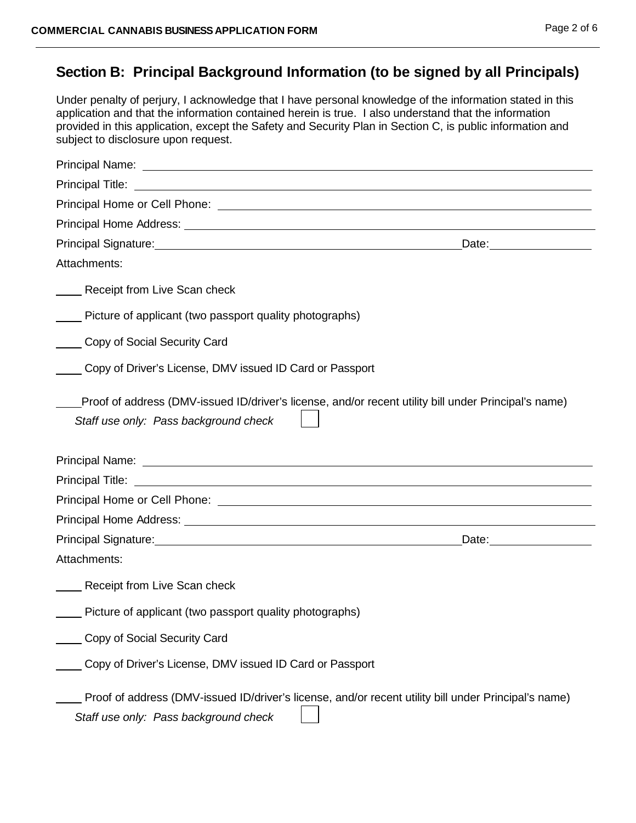## **Section B: Principal Background Information (to be signed by all Principals)**

Under penalty of perjury, I acknowledge that I have personal knowledge of the information stated in this application and that the information contained herein is true. I also understand that the information provided in this application, except the Safety and Security Plan in Section C, is public information and subject to disclosure upon request.

| Principal Signature: <u>contract and a set of the set of the set of the set of the set of the set of the set of the set of the set of the set of the set of the set of the set of the set of the set of the set of the set of th</u> |
|--------------------------------------------------------------------------------------------------------------------------------------------------------------------------------------------------------------------------------------|
| Attachments:                                                                                                                                                                                                                         |
| Receipt from Live Scan check                                                                                                                                                                                                         |
| Picture of applicant (two passport quality photographs)                                                                                                                                                                              |
| Copy of Social Security Card                                                                                                                                                                                                         |
| Copy of Driver's License, DMV issued ID Card or Passport                                                                                                                                                                             |
| Proof of address (DMV-issued ID/driver's license, and/or recent utility bill under Principal's name)<br>Staff use only: Pass background check                                                                                        |
|                                                                                                                                                                                                                                      |
|                                                                                                                                                                                                                                      |
|                                                                                                                                                                                                                                      |
|                                                                                                                                                                                                                                      |
| Date: _________________                                                                                                                                                                                                              |
| Attachments:                                                                                                                                                                                                                         |
| Receipt from Live Scan check                                                                                                                                                                                                         |
| Picture of applicant (two passport quality photographs)                                                                                                                                                                              |
| Copy of Social Security Card                                                                                                                                                                                                         |
| Copy of Driver's License, DMV issued ID Card or Passport                                                                                                                                                                             |
| Proof of address (DMV-issued ID/driver's license, and/or recent utility bill under Principal's name)<br>Staff use only: Pass background check                                                                                        |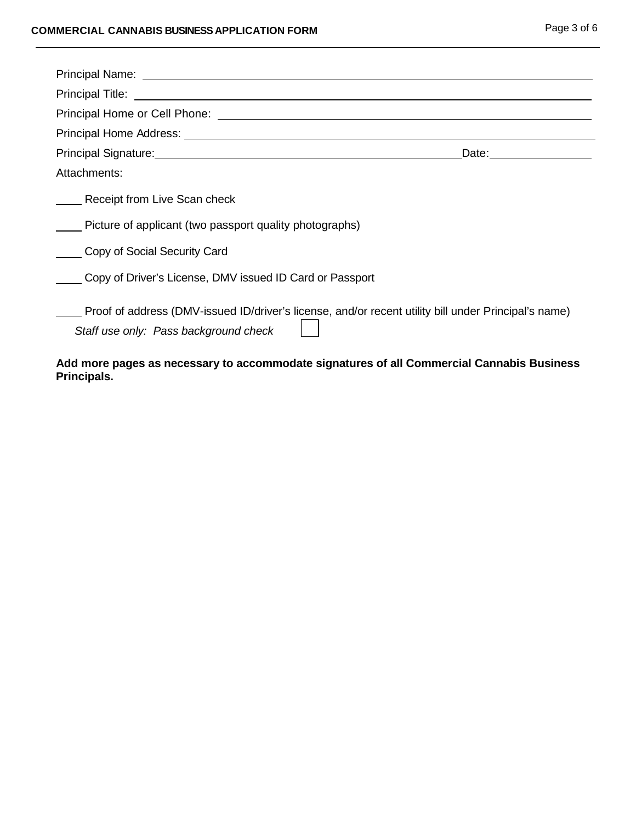| Principal Signature: Management of the Contract of the Contract of the Contract of the Contract of the Contract of the Contract of the Contract of the Contract of the Contract of the Contract of the Contract of the Contrac |  |
|--------------------------------------------------------------------------------------------------------------------------------------------------------------------------------------------------------------------------------|--|
| Attachments:                                                                                                                                                                                                                   |  |
| Receipt from Live Scan check                                                                                                                                                                                                   |  |
| Picture of applicant (two passport quality photographs)                                                                                                                                                                        |  |
| Copy of Social Security Card                                                                                                                                                                                                   |  |
| Copy of Driver's License, DMV issued ID Card or Passport                                                                                                                                                                       |  |
| Proof of address (DMV-issued ID/driver's license, and/or recent utility bill under Principal's name)<br>Staff use only: Pass background check                                                                                  |  |

#### **Add more pages as necessary to accommodate signatures of all Commercial Cannabis Business Principals.**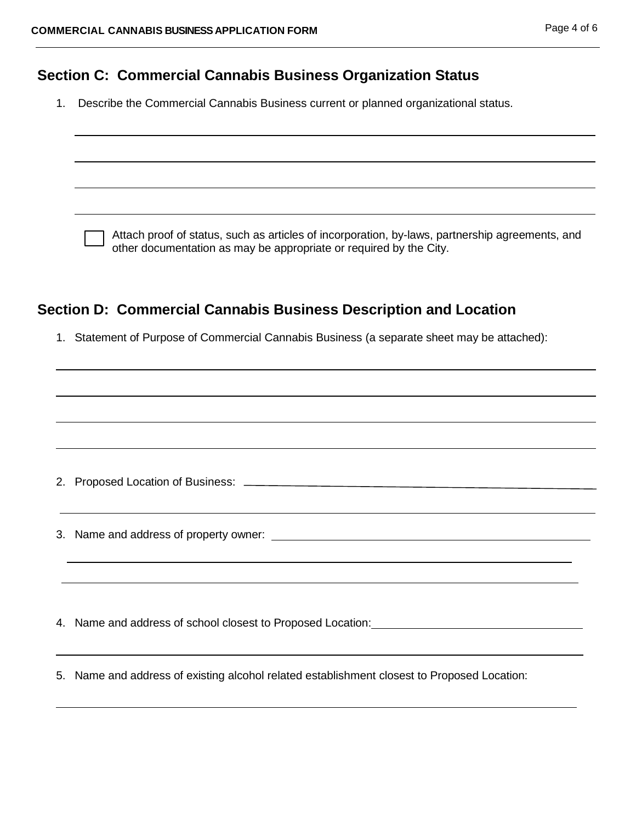#### **Section C: Commercial Cannabis Business Organization Status**

1. Describe the Commercial Cannabis Business current or planned organizational status.

Attach proof of status, such as articles of incorporation, by-laws, partnership agreements, and other documentation as may be appropriate or required by the City.

### **Section D: Commercial Cannabis Business Description and Location**

1. Statement of Purpose of Commercial Cannabis Business (a separate sheet may be attached):

|  | ,我们也不会有什么。""我们的人,我们也不会有什么?""我们的人,我们也不会有什么?""我们的人,我们也不会有什么?""我们的人,我们也不会有什么?""我们的人                                      |
|--|-----------------------------------------------------------------------------------------------------------------------|
|  |                                                                                                                       |
|  | <u> 1989 - Johann Barn, mars and deutscher Schwarzen und der Schwarzen und der Schwarzen und der Schwarzen und de</u> |
|  |                                                                                                                       |
|  | 5. Name and address of existing alcohol related establishment closest to Proposed Location:                           |
|  |                                                                                                                       |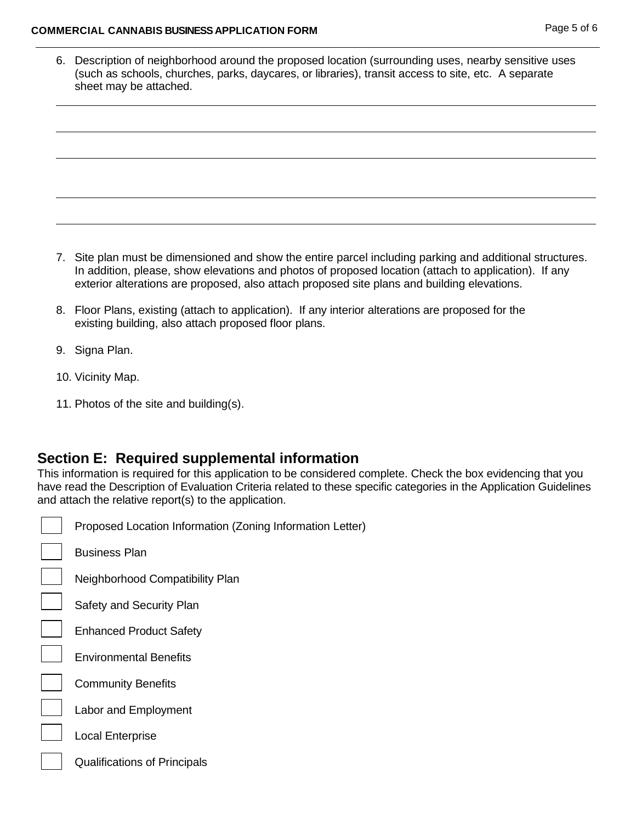#### **COMMERCIAL CANNABIS BUSINESS APPLICATION FORM** Page 5 of 6

| 6. Description of neighborhood around the proposed location (surrounding uses, nearby sensitive uses<br>(such as schools, churches, parks, daycares, or libraries), transit access to site, etc. A separate<br>sheet may be attached. |
|---------------------------------------------------------------------------------------------------------------------------------------------------------------------------------------------------------------------------------------|
|                                                                                                                                                                                                                                       |
|                                                                                                                                                                                                                                       |
|                                                                                                                                                                                                                                       |
|                                                                                                                                                                                                                                       |

- 7. Site plan must be dimensioned and show the entire parcel including parking and additional structures. In addition, please, show elevations and photos of proposed location (attach to application). If any exterior alterations are proposed, also attach proposed site plans and building elevations.
- 8. Floor Plans, existing (attach to application). If any interior alterations are proposed for the existing building, also attach proposed floor plans.
- 9. Signa Plan.
- 10. Vicinity Map.

 $\Gamma$ ┑

11. Photos of the site and building(s).

#### **Section E: Required supplemental information**

This information is required for this application to be considered complete. Check the box evidencing that you have read the Description of Evaluation Criteria related to these specific categories in the Application Guidelines and attach the relative report(s) to the application.

| Proposed Location Information (Zo   |
|-------------------------------------|
| Business Plan                       |
| Neighborhood Compatibility Plan     |
| Safety and Security Plan            |
| <b>Enhanced Product Safety</b>      |
| <b>Environmental Benefits</b>       |
| <b>Community Benefits</b>           |
| Labor and Employment                |
| <b>Local Enterprise</b>             |
| <b>Qualifications of Principals</b> |
|                                     |

d Location Information (Zoning Information Letter)